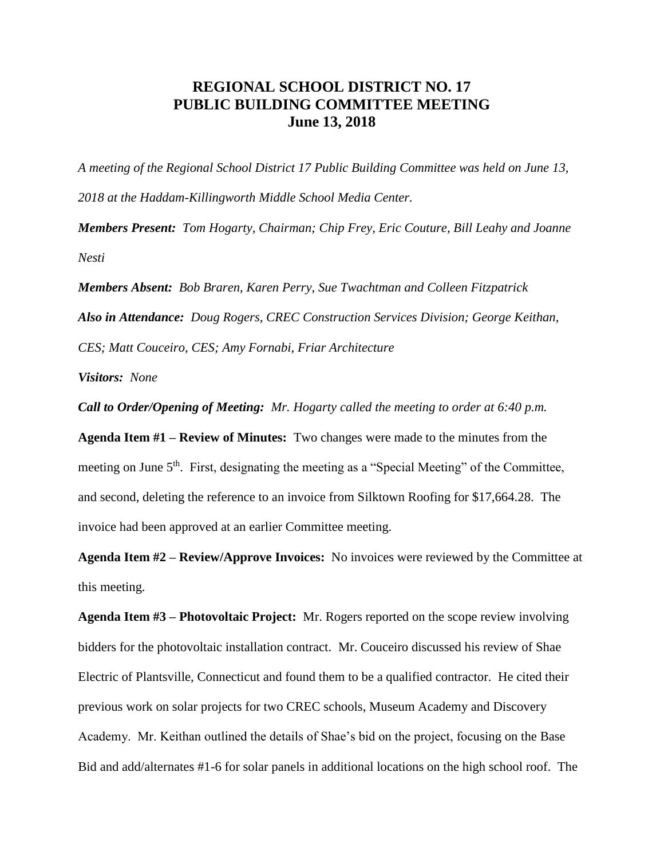## **REGIONAL SCHOOL DISTRICT NO. 17 PUBLIC BUILDING COMMITTEE MEETING June 13, 2018**

*A meeting of the Regional School District 17 Public Building Committee was held on June 13, 2018 at the Haddam-Killingworth Middle School Media Center.*

*Members Present: Tom Hogarty, Chairman; Chip Frey, Eric Couture, Bill Leahy and Joanne Nesti*

*Members Absent: Bob Braren, Karen Perry, Sue Twachtman and Colleen Fitzpatrick Also in Attendance: Doug Rogers, CREC Construction Services Division; George Keithan, CES; Matt Couceiro, CES; Amy Fornabi, Friar Architecture*

*Visitors: None*

*Call to Order/Opening of Meeting: Mr. Hogarty called the meeting to order at 6:40 p.m.*

**Agenda Item #1 – Review of Minutes:** Two changes were made to the minutes from the meeting on June 5<sup>th</sup>. First, designating the meeting as a "Special Meeting" of the Committee, and second, deleting the reference to an invoice from Silktown Roofing for \$17,664.28. The invoice had been approved at an earlier Committee meeting.

**Agenda Item #2 – Review/Approve Invoices:** No invoices were reviewed by the Committee at this meeting.

**Agenda Item #3 – Photovoltaic Project:** Mr. Rogers reported on the scope review involving bidders for the photovoltaic installation contract. Mr. Couceiro discussed his review of Shae Electric of Plantsville, Connecticut and found them to be a qualified contractor. He cited their previous work on solar projects for two CREC schools, Museum Academy and Discovery Academy. Mr. Keithan outlined the details of Shae's bid on the project, focusing on the Base Bid and add/alternates #1-6 for solar panels in additional locations on the high school roof. The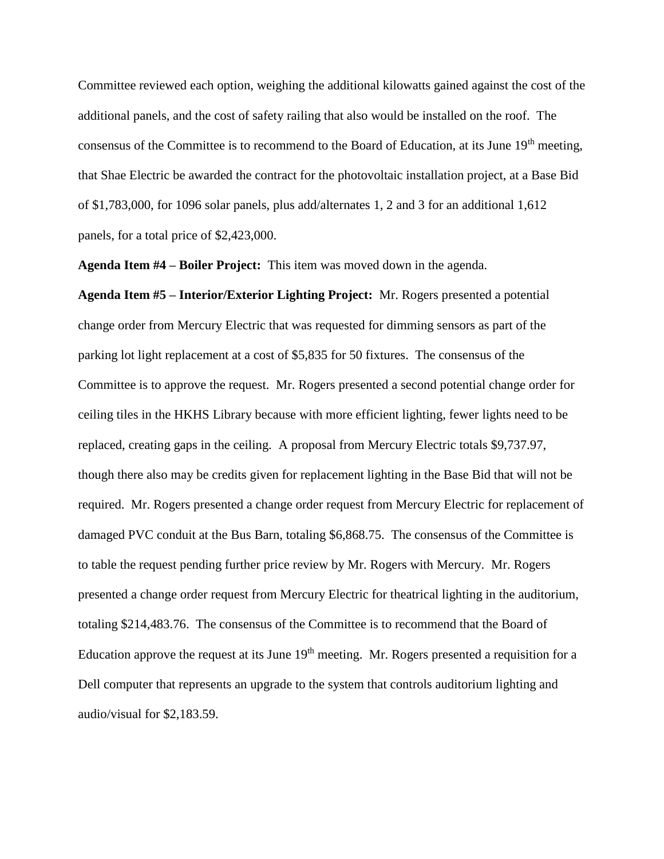Committee reviewed each option, weighing the additional kilowatts gained against the cost of the additional panels, and the cost of safety railing that also would be installed on the roof. The consensus of the Committee is to recommend to the Board of Education, at its June 19<sup>th</sup> meeting, that Shae Electric be awarded the contract for the photovoltaic installation project, at a Base Bid of \$1,783,000, for 1096 solar panels, plus add/alternates 1, 2 and 3 for an additional 1,612 panels, for a total price of \$2,423,000.

**Agenda Item #4 – Boiler Project:** This item was moved down in the agenda.

**Agenda Item #5 – Interior/Exterior Lighting Project:** Mr. Rogers presented a potential change order from Mercury Electric that was requested for dimming sensors as part of the parking lot light replacement at a cost of \$5,835 for 50 fixtures. The consensus of the Committee is to approve the request. Mr. Rogers presented a second potential change order for ceiling tiles in the HKHS Library because with more efficient lighting, fewer lights need to be replaced, creating gaps in the ceiling. A proposal from Mercury Electric totals \$9,737.97, though there also may be credits given for replacement lighting in the Base Bid that will not be required. Mr. Rogers presented a change order request from Mercury Electric for replacement of damaged PVC conduit at the Bus Barn, totaling \$6,868.75. The consensus of the Committee is to table the request pending further price review by Mr. Rogers with Mercury. Mr. Rogers presented a change order request from Mercury Electric for theatrical lighting in the auditorium, totaling \$214,483.76. The consensus of the Committee is to recommend that the Board of Education approve the request at its June  $19<sup>th</sup>$  meeting. Mr. Rogers presented a requisition for a Dell computer that represents an upgrade to the system that controls auditorium lighting and audio/visual for \$2,183.59.